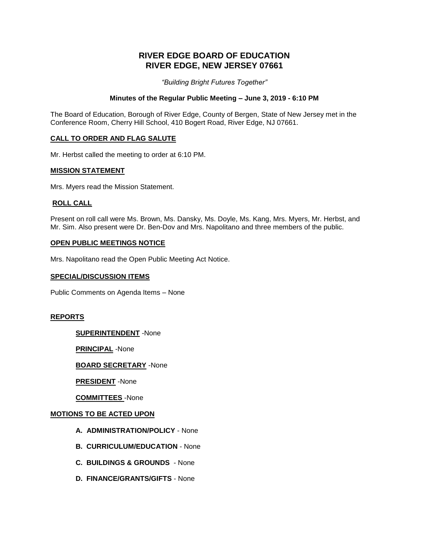# **RIVER EDGE BOARD OF EDUCATION RIVER EDGE, NEW JERSEY 07661**

*"Building Bright Futures Together"*

## **Minutes of the Regular Public Meeting – June 3, 2019 - 6:10 PM**

The Board of Education, Borough of River Edge, County of Bergen, State of New Jersey met in the Conference Room, Cherry Hill School, 410 Bogert Road, River Edge, NJ 07661.

## **CALL TO ORDER AND FLAG SALUTE**

Mr. Herbst called the meeting to order at 6:10 PM.

#### **MISSION STATEMENT**

Mrs. Myers read the Mission Statement.

## **ROLL CALL**

Present on roll call were Ms. Brown, Ms. Dansky, Ms. Doyle, Ms. Kang, Mrs. Myers, Mr. Herbst, and Mr. Sim. Also present were Dr. Ben-Dov and Mrs. Napolitano and three members of the public.

#### **OPEN PUBLIC MEETINGS NOTICE**

Mrs. Napolitano read the Open Public Meeting Act Notice.

#### **SPECIAL/DISCUSSION ITEMS**

Public Comments on Agenda Items – None

#### **REPORTS**

**SUPERINTENDENT** -None

**PRINCIPAL** -None

## **BOARD SECRETARY** -None

**PRESIDENT** -None

**COMMITTEES** -None

#### **MOTIONS TO BE ACTED UPON**

- **A. ADMINISTRATION/POLICY**  None
- **B. CURRICULUM/EDUCATION** None
- **C. BUILDINGS & GROUNDS** None
- **D. FINANCE/GRANTS/GIFTS** None